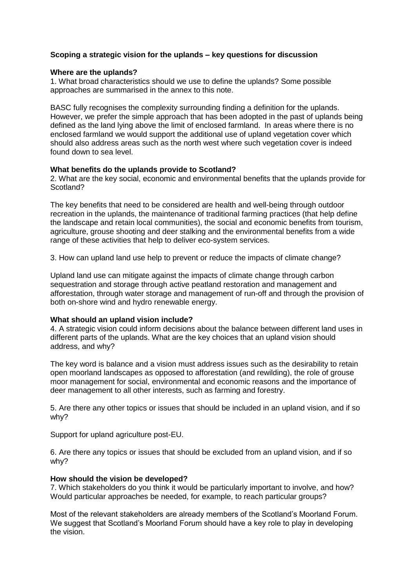# **Scoping a strategic vision for the uplands – key questions for discussion**

### **Where are the uplands?**

1. What broad characteristics should we use to define the uplands? Some possible approaches are summarised in the annex to this note.

BASC fully recognises the complexity surrounding finding a definition for the uplands. However, we prefer the simple approach that has been adopted in the past of uplands being defined as the land lying above the limit of enclosed farmland. In areas where there is no enclosed farmland we would support the additional use of upland vegetation cover which should also address areas such as the north west where such vegetation cover is indeed found down to sea level.

### **What benefits do the uplands provide to Scotland?**

2. What are the key social, economic and environmental benefits that the uplands provide for Scotland?

The key benefits that need to be considered are health and well-being through outdoor recreation in the uplands, the maintenance of traditional farming practices (that help define the landscape and retain local communities), the social and economic benefits from tourism, agriculture, grouse shooting and deer stalking and the environmental benefits from a wide range of these activities that help to deliver eco-system services.

3. How can upland land use help to prevent or reduce the impacts of climate change?

Upland land use can mitigate against the impacts of climate change through carbon sequestration and storage through active peatland restoration and management and afforestation, through water storage and management of run-off and through the provision of both on-shore wind and hydro renewable energy.

## **What should an upland vision include?**

4. A strategic vision could inform decisions about the balance between different land uses in different parts of the uplands. What are the key choices that an upland vision should address, and why?

The key word is balance and a vision must address issues such as the desirability to retain open moorland landscapes as opposed to afforestation (and rewilding), the role of grouse moor management for social, environmental and economic reasons and the importance of deer management to all other interests, such as farming and forestry.

5. Are there any other topics or issues that should be included in an upland vision, and if so why?

Support for upland agriculture post-EU.

6. Are there any topics or issues that should be excluded from an upland vision, and if so why?

## **How should the vision be developed?**

7. Which stakeholders do you think it would be particularly important to involve, and how? Would particular approaches be needed, for example, to reach particular groups?

Most of the relevant stakeholders are already members of the Scotland's Moorland Forum. We suggest that Scotland's Moorland Forum should have a key role to play in developing the vision.